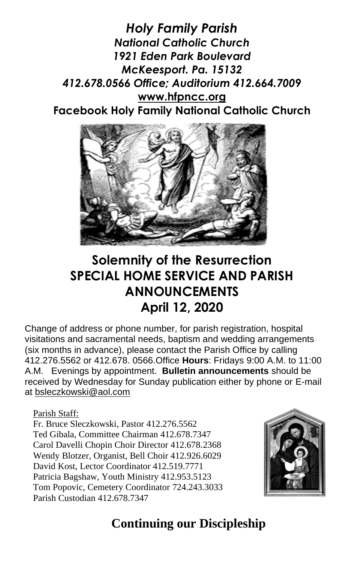*Holy Family Parish National Catholic Church 1921 Eden Park Boulevard McKeesport. Pa. 15132 412.678.0566 Office; Auditorium 412.664.7009* **[www.hfpncc.org](http://www.hfpncc.org/) Facebook Holy Family National Catholic Church**



# **Solemnity of the Resurrection SPECIAL HOME SERVICE AND PARISH ANNOUNCEMENTS April 12, 2020**

Change of address or phone number, for parish registration, hospital visitations and sacramental needs, baptism and wedding arrangements (six months in advance), please contact the Parish Office by calling 412.276.5562 or 412.678. 0566.Office **Hours**: Fridays 9:00 A.M. to 11:00 A.M. Evenings by appointment. **Bulletin announcements** should be received by Wednesday for Sunday publication either by phone or E-mail at [bsleczkowski@aol.com](mailto:bsleczkowski@aol.com)

Parish Staff:

Fr. Bruce Sleczkowski, Pastor 412.276.5562 Ted Gibala, Committee Chairman 412.678.7347 Carol Davelli Chopin Choir Director 412.678.2368 Wendy Blotzer, Organist, Bell Choir 412.926.6029 David Kost, Lector Coordinator 412.519.7771 Patricia Bagshaw, Youth Ministry 412.953.5123 Tom Popovic, Cemetery Coordinator 724.243.3033 Parish Custodian 412.678.7347



# **Continuing our Discipleship**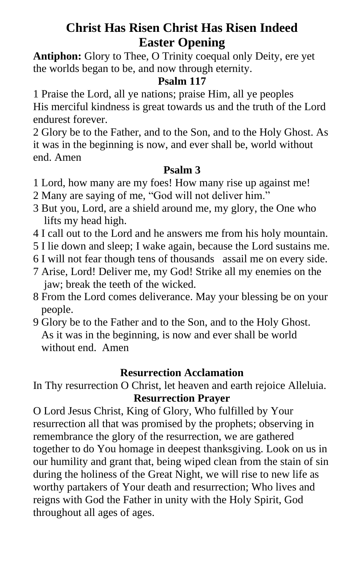# **Christ Has Risen Christ Has Risen Indeed Easter Opening**

**Antiphon:** Glory to Thee, O Trinity coequal only Deity, ere yet the worlds began to be, and now through eternity.

#### **Psalm 117**

1 Praise the Lord, all ye nations; praise Him, all ye peoples His merciful kindness is great towards us and the truth of the Lord endurest forever.

2 Glory be to the Father, and to the Son, and to the Holy Ghost. As it was in the beginning is now, and ever shall be, world without end. Amen

### **Psalm 3**

- 1 Lord, how many are my foes! How many rise up against me!
- 2 Many are saying of me, "God will not deliver him."
- 3 But you, Lord, are a shield around me, my glory, the One who lifts my head high.
- 4 I call out to the Lord and he answers me from his holy mountain.
- 5 I lie down and sleep; I wake again, because the Lord sustains me.
- 6 I will not fear though tens of thousands assail me on every side.
- 7 Arise, Lord! Deliver me, my God! Strike all my enemies on the jaw; break the teeth of the wicked.
- 8 From the Lord comes deliverance. May your blessing be on your people.
- 9 Glory be to the Father and to the Son, and to the Holy Ghost. As it was in the beginning, is now and ever shall be world without end. Amen

#### **Resurrection Acclamation**

In Thy resurrection O Christ, let heaven and earth rejoice Alleluia. **Resurrection Prayer**

O Lord Jesus Christ, King of Glory, Who fulfilled by Your resurrection all that was promised by the prophets; observing in remembrance the glory of the resurrection, we are gathered together to do You homage in deepest thanksgiving. Look on us in our humility and grant that, being wiped clean from the stain of sin during the holiness of the Great Night, we will rise to new life as worthy partakers of Your death and resurrection; Who lives and reigns with God the Father in unity with the Holy Spirit, God throughout all ages of ages.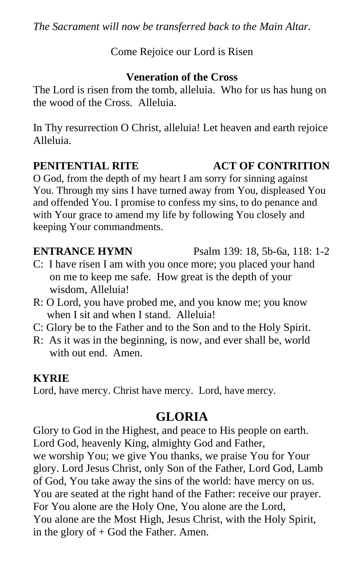Come Rejoice our Lord is Risen

### **Veneration of the Cross**

The Lord is risen from the tomb, alleluia. Who for us has hung on the wood of the Cross. Alleluia.

In Thy resurrection O Christ, alleluia! Let heaven and earth rejoice Alleluia.

#### **PENITENTIAL RITE ACT OF CONTRITION**

O God, from the depth of my heart I am sorry for sinning against You. Through my sins I have turned away from You, displeased You and offended You. I promise to confess my sins, to do penance and with Your grace to amend my life by following You closely and keeping Your commandments.

**ENTRANCE HYMN** Psalm 139: 18, 5b-6a, 118: 1-2

- C: I have risen I am with you once more; you placed your hand on me to keep me safe. How great is the depth of your wisdom, Alleluia!
- R: O Lord, you have probed me, and you know me; you know when I sit and when I stand. Alleluia!
- C: Glory be to the Father and to the Son and to the Holy Spirit.
- R: As it was in the beginning, is now, and ever shall be, world with out end. Amen.

#### **KYRIE**

Lord, have mercy. Christ have mercy. Lord, have mercy.

## **GLORIA**

Glory to God in the Highest, and peace to His people on earth. Lord God, heavenly King, almighty God and Father, we worship You; we give You thanks, we praise You for Your glory. Lord Jesus Christ, only Son of the Father, Lord God, Lamb of God, You take away the sins of the world: have mercy on us. You are seated at the right hand of the Father: receive our prayer. For You alone are the Holy One, You alone are the Lord, You alone are the Most High, Jesus Christ, with the Holy Spirit, in the glory of  $+$  God the Father. Amen.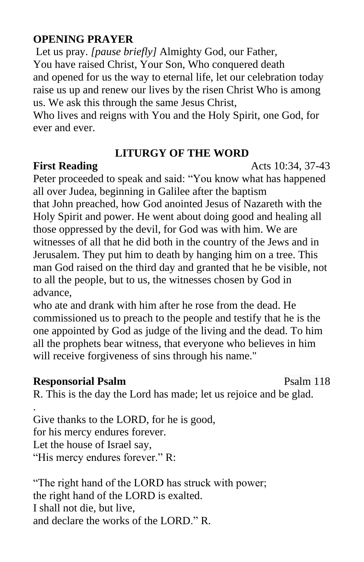### **OPENING PRAYER**

Let us pray. *[pause briefly]* Almighty God, our Father, You have raised Christ, Your Son, Who conquered death and opened for us the way to eternal life, let our celebration today raise us up and renew our lives by the risen Christ Who is among us. We ask this through the same Jesus Christ,

Who lives and reigns with You and the Holy Spirit, one God, for ever and ever.

#### **LITURGY OF THE WORD**

**First Reading** Acts 10:34, 37-43

Peter proceeded to speak and said: "You know what has happened all over Judea, beginning in Galilee after the baptism that John preached, how God anointed Jesus of Nazareth with the Holy Spirit and power. He went about doing good and healing all those oppressed by the devil, for God was with him. We are witnesses of all that he did both in the country of the Jews and in Jerusalem. They put him to death by hanging him on a tree. This man God raised on the third day and granted that he be visible, not to all the people, but to us, the witnesses chosen by God in advance,

who ate and drank with him after he rose from the dead. He commissioned us to preach to the people and testify that he is the one appointed by God as judge of the living and the dead. To him all the prophets bear witness, that everyone who believes in him will receive forgiveness of sins through his name."

#### **Responsorial Psalm** Psalm 118

R. This is the day the Lord has made; let us rejoice and be glad.

. Give thanks to the LORD, for he is good, for his mercy endures forever. Let the house of Israel say, "His mercy endures forever." R:

"The right hand of the LORD has struck with power; the right hand of the LORD is exalted. I shall not die, but live, and declare the works of the LORD." R.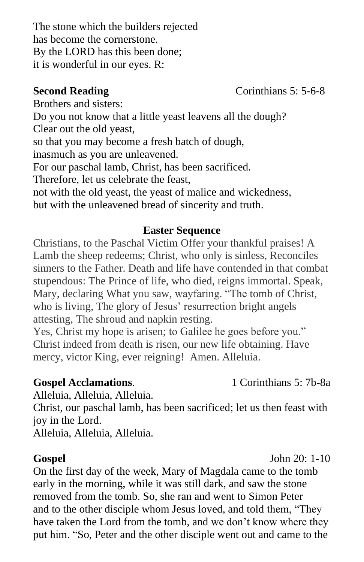The stone which the builders rejected has become the cornerstone. By the LORD has this been done; it is wonderful in our eyes. R:

**Second Reading** Corinthians 5: 5-6-8

Brothers and sisters: Do you not know that a little yeast leavens all the dough? Clear out the old yeast, so that you may become a fresh batch of dough, inasmuch as you are unleavened. For our paschal lamb, Christ, has been sacrificed. Therefore, let us celebrate the feast, not with the old yeast, the yeast of malice and wickedness, but with the unleavened bread of sincerity and truth.

#### **Easter Sequence**

Christians, to the Paschal Victim Offer your thankful praises! A Lamb the sheep redeems; Christ, who only is sinless, Reconciles sinners to the Father. Death and life have contended in that combat stupendous: The Prince of life, who died, reigns immortal. Speak, Mary, declaring What you saw, wayfaring. "The tomb of Christ, who is living, The glory of Jesus' resurrection bright angels attesting, The shroud and napkin resting.

Yes, Christ my hope is arisen; to Galilee he goes before you." Christ indeed from death is risen, our new life obtaining. Have mercy, victor King, ever reigning! Amen. Alleluia.

#### **Gospel Acclamations**. 1 Corinthians 5: 7b-8a

Alleluia, Alleluia, Alleluia.

Christ, our paschal lamb, has been sacrificed; let us then feast with joy in the Lord.

Alleluia, Alleluia, Alleluia.

**Gospel** John 20: 1-10

On the first day of the week, Mary of Magdala came to the tomb early in the morning, while it was still dark, and saw the stone removed from the tomb. So, she ran and went to Simon Peter and to the other disciple whom Jesus loved, and told them, "They have taken the Lord from the tomb, and we don't know where they put him. "So, Peter and the other disciple went out and came to the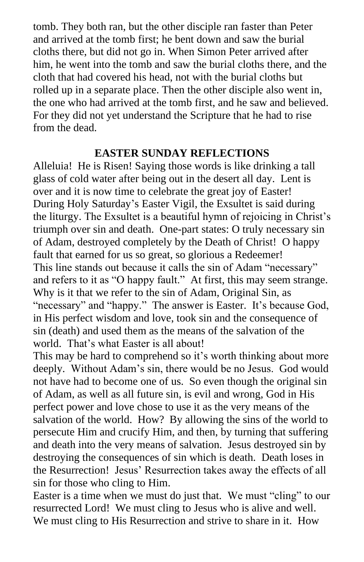tomb. They both ran, but the other disciple ran faster than Peter and arrived at the tomb first; he bent down and saw the burial cloths there, but did not go in. When Simon Peter arrived after him, he went into the tomb and saw the burial cloths there, and the cloth that had covered his head, not with the burial cloths but rolled up in a separate place. Then the other disciple also went in, the one who had arrived at the tomb first, and he saw and believed. For they did not yet understand the Scripture that he had to rise from the dead.

#### **EASTER SUNDAY REFLECTIONS**

Alleluia! He is Risen! Saying those words is like drinking a tall glass of cold water after being out in the desert all day. Lent is over and it is now time to celebrate the great joy of Easter! During Holy Saturday's Easter Vigil, the Exsultet is said during the liturgy. The Exsultet is a beautiful hymn of rejoicing in Christ's triumph over sin and death. One-part states: O truly necessary sin of Adam, destroyed completely by the Death of Christ! O happy fault that earned for us so great, so glorious a Redeemer! This line stands out because it calls the sin of Adam "necessary" and refers to it as "O happy fault." At first, this may seem strange. Why is it that we refer to the sin of Adam, Original Sin, as "necessary" and "happy." The answer is Easter. It's because God, in His perfect wisdom and love, took sin and the consequence of sin (death) and used them as the means of the salvation of the world. That's what Easter is all about!

This may be hard to comprehend so it's worth thinking about more deeply. Without Adam's sin, there would be no Jesus. God would not have had to become one of us. So even though the original sin of Adam, as well as all future sin, is evil and wrong, God in His perfect power and love chose to use it as the very means of the salvation of the world. How? By allowing the sins of the world to persecute Him and crucify Him, and then, by turning that suffering and death into the very means of salvation. Jesus destroyed sin by destroying the consequences of sin which is death. Death loses in the Resurrection! Jesus' Resurrection takes away the effects of all sin for those who cling to Him.

Easter is a time when we must do just that. We must "cling" to our resurrected Lord! We must cling to Jesus who is alive and well. We must cling to His Resurrection and strive to share in it. How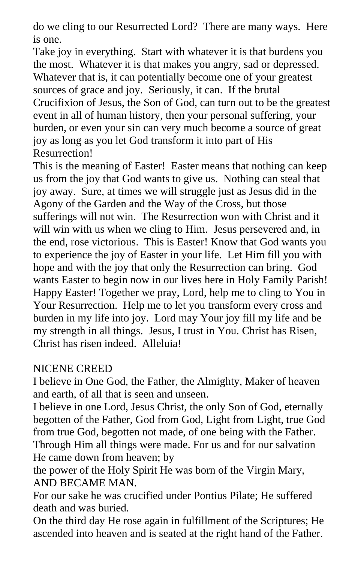do we cling to our Resurrected Lord? There are many ways. Here is one.

Take joy in everything. Start with whatever it is that burdens you the most. Whatever it is that makes you angry, sad or depressed. Whatever that is, it can potentially become one of your greatest sources of grace and joy. Seriously, it can. If the brutal Crucifixion of Jesus, the Son of God, can turn out to be the greatest event in all of human history, then your personal suffering, your burden, or even your sin can very much become a source of great joy as long as you let God transform it into part of His Resurrection!

This is the meaning of Easter! Easter means that nothing can keep us from the joy that God wants to give us. Nothing can steal that joy away. Sure, at times we will struggle just as Jesus did in the Agony of the Garden and the Way of the Cross, but those sufferings will not win. The Resurrection won with Christ and it will win with us when we cling to Him. Jesus persevered and, in the end, rose victorious. This is Easter! Know that God wants you to experience the joy of Easter in your life. Let Him fill you with hope and with the joy that only the Resurrection can bring. God wants Easter to begin now in our lives here in Holy Family Parish! Happy Easter! Together we pray, Lord, help me to cling to You in Your Resurrection. Help me to let you transform every cross and burden in my life into joy. Lord may Your joy fill my life and be my strength in all things. Jesus, I trust in You. Christ has Risen, Christ has risen indeed. Alleluia!

#### NICENE CREED

I believe in One God, the Father, the Almighty, Maker of heaven and earth, of all that is seen and unseen.

I believe in one Lord, Jesus Christ, the only Son of God, eternally begotten of the Father, God from God, Light from Light, true God from true God, begotten not made, of one being with the Father. Through Him all things were made. For us and for our salvation He came down from heaven; by

the power of the Holy Spirit He was born of the Virgin Mary, AND BECAME MAN.

For our sake he was crucified under Pontius Pilate; He suffered death and was buried.

On the third day He rose again in fulfillment of the Scriptures; He ascended into heaven and is seated at the right hand of the Father.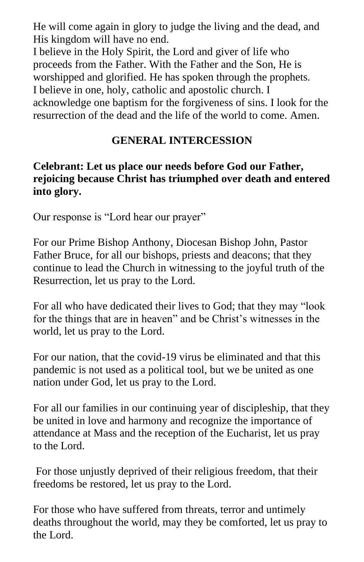He will come again in glory to judge the living and the dead, and His kingdom will have no end.

I believe in the Holy Spirit, the Lord and giver of life who proceeds from the Father. With the Father and the Son, He is worshipped and glorified. He has spoken through the prophets. I believe in one, holy, catholic and apostolic church. I acknowledge one baptism for the forgiveness of sins. I look for the resurrection of the dead and the life of the world to come. Amen.

### **GENERAL INTERCESSION**

#### **Celebrant: Let us place our needs before God our Father, rejoicing because Christ has triumphed over death and entered into glory.**

Our response is "Lord hear our prayer"

For our Prime Bishop Anthony, Diocesan Bishop John, Pastor Father Bruce, for all our bishops, priests and deacons; that they continue to lead the Church in witnessing to the joyful truth of the Resurrection, let us pray to the Lord.

For all who have dedicated their lives to God; that they may "look for the things that are in heaven" and be Christ's witnesses in the world, let us pray to the Lord.

For our nation, that the covid-19 virus be eliminated and that this pandemic is not used as a political tool, but we be united as one nation under God, let us pray to the Lord.

For all our families in our continuing year of discipleship, that they be united in love and harmony and recognize the importance of attendance at Mass and the reception of the Eucharist, let us pray to the Lord.

For those unjustly deprived of their religious freedom, that their freedoms be restored, let us pray to the Lord.

For those who have suffered from threats, terror and untimely deaths throughout the world, may they be comforted, let us pray to the Lord.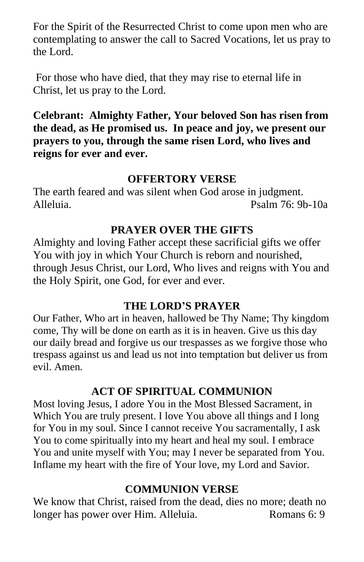For the Spirit of the Resurrected Christ to come upon men who are contemplating to answer the call to Sacred Vocations, let us pray to the Lord.

For those who have died, that they may rise to eternal life in Christ, let us pray to the Lord.

**Celebrant: Almighty Father, Your beloved Son has risen from the dead, as He promised us. In peace and joy, we present our prayers to you, through the same risen Lord, who lives and reigns for ever and ever.**

#### **OFFERTORY VERSE**

The earth feared and was silent when God arose in judgment. Alleluia. Psalm 76: 9b-10a

#### **PRAYER OVER THE GIFTS**

Almighty and loving Father accept these sacrificial gifts we offer You with joy in which Your Church is reborn and nourished, through Jesus Christ, our Lord, Who lives and reigns with You and the Holy Spirit, one God, for ever and ever.

#### **THE LORD'S PRAYER**

Our Father, Who art in heaven, hallowed be Thy Name; Thy kingdom come, Thy will be done on earth as it is in heaven. Give us this day our daily bread and forgive us our trespasses as we forgive those who trespass against us and lead us not into temptation but deliver us from evil. Amen.

#### **ACT OF SPIRITUAL COMMUNION**

Most loving Jesus, I adore You in the Most Blessed Sacrament, in Which You are truly present. I love You above all things and I long for You in my soul. Since I cannot receive You sacramentally, I ask You to come spiritually into my heart and heal my soul. I embrace You and unite myself with You; may I never be separated from You. Inflame my heart with the fire of Your love, my Lord and Savior.

#### **COMMUNION VERSE**

We know that Christ, raised from the dead, dies no more; death no longer has power over Him. Alleluia. Romans 6: 9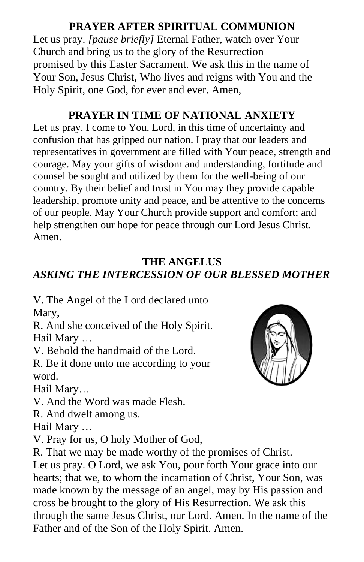### **PRAYER AFTER SPIRITUAL COMMUNION**

Let us pray. *[pause briefly]* Eternal Father, watch over Your Church and bring us to the glory of the Resurrection promised by this Easter Sacrament. We ask this in the name of Your Son, Jesus Christ, Who lives and reigns with You and the Holy Spirit, one God, for ever and ever. Amen,

### **PRAYER IN TIME OF NATIONAL ANXIETY**

Let us pray. I come to You, Lord, in this time of uncertainty and confusion that has gripped our nation. I pray that our leaders and representatives in government are filled with Your peace, strength and courage. May your gifts of wisdom and understanding, fortitude and counsel be sought and utilized by them for the well-being of our country. By their belief and trust in You may they provide capable leadership, promote unity and peace, and be attentive to the concerns of our people. May Your Church provide support and comfort; and help strengthen our hope for peace through our Lord Jesus Christ. Amen.

### **THE ANGELUS** *ASKING THE INTERCESSION OF OUR BLESSED MOTHER*

V. The Angel of the Lord declared unto Mary,

R. And she conceived of the Holy Spirit. Hail Mary …

V. Behold the handmaid of the Lord.

R. Be it done unto me according to your word.

Hail Mary…

V. And the Word was made Flesh.

R. And dwelt among us.

Hail Mary …

V. Pray for us, O holy Mother of God,

R. That we may be made worthy of the promises of Christ.

Let us pray. O Lord, we ask You, pour forth Your grace into our hearts; that we, to whom the incarnation of Christ, Your Son, was made known by the message of an angel, may by His passion and cross be brought to the glory of His Resurrection. We ask this through the same Jesus Christ, our Lord. Amen. In the name of the Father and of the Son of the Holy Spirit. Amen.

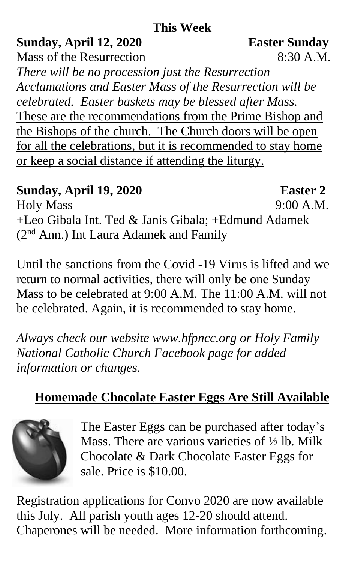# **This Week**

# **Sunday, April 12, 2020 Easter Sunday**

Mass of the Resurrection 8:30 A.M. *There will be no procession just the Resurrection Acclamations and Easter Mass of the Resurrection will be celebrated. Easter baskets may be blessed after Mass.* These are the recommendations from the Prime Bishop and the Bishops of the church. The Church doors will be open for all the celebrations, but it is recommended to stay home or keep a social distance if attending the liturgy.

# **Sunday, April 19, 2020 Easter 2**

Holy Mass 9:00 A.M. +Leo Gibala Int. Ted & Janis Gibala; +Edmund Adamek (2nd Ann.) Int Laura Adamek and Family

Until the sanctions from the Covid -19 Virus is lifted and we return to normal activities, there will only be one Sunday Mass to be celebrated at 9:00 A.M. The 11:00 A.M. will not be celebrated. Again, it is recommended to stay home.

*Always check our website [www.hfpncc.org](http://www.hfpncc.org/) or Holy Family National Catholic Church Facebook page for added information or changes.*

# **Homemade Chocolate Easter Eggs Are Still Available**



The Easter Eggs can be purchased after today's Mass. There are various varieties of ½ lb. Milk Chocolate & Dark Chocolate Easter Eggs for sale. Price is \$10.00.

Registration applications for Convo 2020 are now available this July. All parish youth ages 12-20 should attend. Chaperones will be needed. More information forthcoming.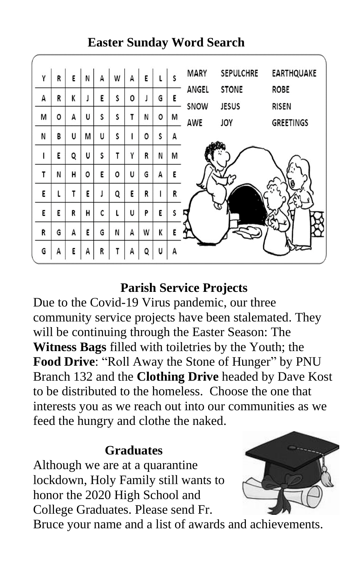

# **Easter Sunday Word Search**

## **Parish Service Projects**

Due to the Covid-19 Virus pandemic, our three community service projects have been stalemated. They will be continuing through the Easter Season: The **Witness Bags** filled with toiletries by the Youth; the **Food Drive**: "Roll Away the Stone of Hunger" by PNU Branch 132 and the **Clothing Drive** headed by Dave Kost to be distributed to the homeless. Choose the one that interests you as we reach out into our communities as we feed the hungry and clothe the naked.

## **Graduates**

Although we are at a quarantine lockdown, Holy Family still wants to honor the 2020 High School and College Graduates. Please send Fr.



Bruce your name and a list of awards and achievements.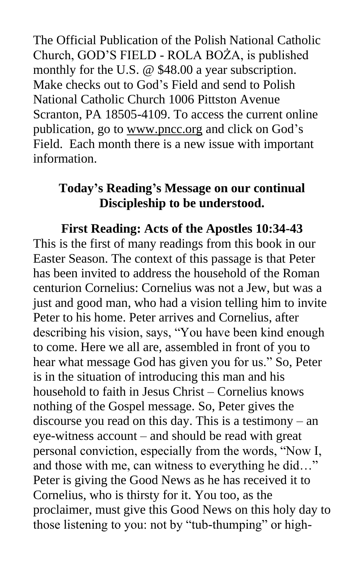The Official Publication of the Polish National Catholic Church, GOD'S FIELD - ROLA BOŻA, is published monthly for the U.S. @ \$48.00 a year subscription. Make checks out to God's Field and send to Polish National Catholic Church 1006 Pittston Avenue Scranton, PA 18505-4109. To access the current online publication, go to [www.pncc.org](http://www.pncc.org/) and click on God's Field. Each month there is a new issue with important information.

# **Today's Reading's Message on our continual Discipleship to be understood.**

**First Reading: Acts of the Apostles 10:34-43** This is the first of many readings from this book in our Easter Season. The context of this passage is that Peter has been invited to address the household of the Roman centurion Cornelius: Cornelius was not a Jew, but was a just and good man, who had a vision telling him to invite Peter to his home. Peter arrives and Cornelius, after describing his vision, says, "You have been kind enough to come. Here we all are, assembled in front of you to hear what message God has given you for us." So, Peter is in the situation of introducing this man and his household to faith in Jesus Christ – Cornelius knows nothing of the Gospel message. So, Peter gives the discourse you read on this day. This is a testimony – an eye-witness account – and should be read with great personal conviction, especially from the words, "Now I, and those with me, can witness to everything he did…" Peter is giving the Good News as he has received it to Cornelius, who is thirsty for it. You too, as the proclaimer, must give this Good News on this holy day to those listening to you: not by "tub-thumping" or high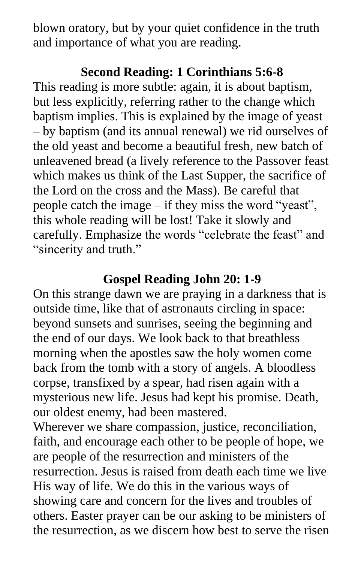blown oratory, but by your quiet confidence in the truth and importance of what you are reading.

## **Second Reading: 1 Corinthians 5:6-8**

This reading is more subtle: again, it is about baptism, but less explicitly, referring rather to the change which baptism implies. This is explained by the image of yeast – by baptism (and its annual renewal) we rid ourselves of the old yeast and become a beautiful fresh, new batch of unleavened bread (a lively reference to the Passover feast which makes us think of the Last Supper, the sacrifice of the Lord on the cross and the Mass). Be careful that people catch the image – if they miss the word "yeast", this whole reading will be lost! Take it slowly and carefully. Emphasize the words "celebrate the feast" and "sincerity and truth."

# **Gospel Reading John 20: 1-9**

On this strange dawn we are praying in a darkness that is outside time, like that of astronauts circling in space: beyond sunsets and sunrises, seeing the beginning and the end of our days. We look back to that breathless morning when the apostles saw the holy women come back from the tomb with a story of angels. A bloodless corpse, transfixed by a spear, had risen again with a mysterious new life. Jesus had kept his promise. Death, our oldest enemy, had been mastered.

Wherever we share compassion, justice, reconciliation, faith, and encourage each other to be people of hope, we are people of the resurrection and ministers of the resurrection. Jesus is raised from death each time we live His way of life. We do this in the various ways of showing care and concern for the lives and troubles of others. Easter prayer can be our asking to be ministers of the resurrection, as we discern how best to serve the risen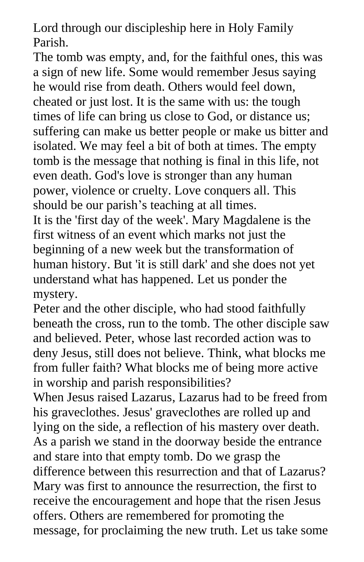Lord through our discipleship here in Holy Family Parish.

The tomb was empty, and, for the faithful ones, this was a sign of new life. Some would remember Jesus saying he would rise from death. Others would feel down, cheated or just lost. It is the same with us: the tough times of life can bring us close to God, or distance us; suffering can make us better people or make us bitter and isolated. We may feel a bit of both at times. The empty tomb is the message that nothing is final in this life, not even death. God's love is stronger than any human power, violence or cruelty. Love conquers all. This should be our parish's teaching at all times.

It is the 'first day of the week'. Mary Magdalene is the first witness of an event which marks not just the beginning of a new week but the transformation of human history. But 'it is still dark' and she does not yet understand what has happened. Let us ponder the mystery.

Peter and the other disciple, who had stood faithfully beneath the cross, run to the tomb. The other disciple saw and believed. Peter, whose last recorded action was to deny Jesus, still does not believe. Think, what blocks me from fuller faith? What blocks me of being more active in worship and parish responsibilities?

When Jesus raised Lazarus, Lazarus had to be freed from his graveclothes. Jesus' graveclothes are rolled up and lying on the side, a reflection of his mastery over death. As a parish we stand in the doorway beside the entrance and stare into that empty tomb. Do we grasp the difference between this resurrection and that of Lazarus? Mary was first to announce the resurrection, the first to receive the encouragement and hope that the risen Jesus offers. Others are remembered for promoting the message, for proclaiming the new truth. Let us take some